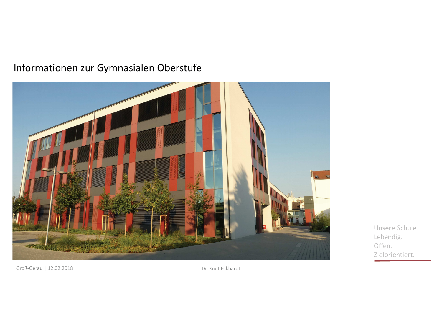#### Informationen zur Gymnasialen Oberstufe



Unsere Schule Lebendig. Offen. Zielorientiert.

Groß-Gerau | 12.02.2018

Dr. Knut Eckhardt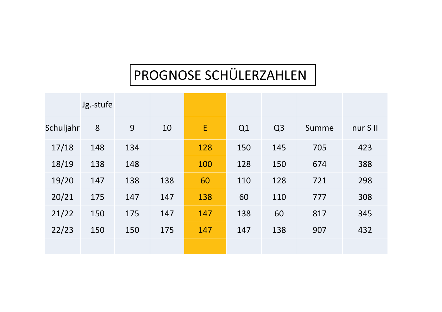### PROGNOSE SCHÜLERZAHLEN

|           | Jg.-stufe |     |     |     |     |                |       |          |
|-----------|-----------|-----|-----|-----|-----|----------------|-------|----------|
| Schuljahr | 8         | 9   | 10  | E   | Q1  | Q <sub>3</sub> | Summe | nur S II |
| 17/18     | 148       | 134 |     | 128 | 150 | 145            | 705   | 423      |
| 18/19     | 138       | 148 |     | 100 | 128 | 150            | 674   | 388      |
| 19/20     | 147       | 138 | 138 | 60  | 110 | 128            | 721   | 298      |
| 20/21     | 175       | 147 | 147 | 138 | 60  | 110            | 777   | 308      |
| 21/22     | 150       | 175 | 147 | 147 | 138 | 60             | 817   | 345      |
| 22/23     | 150       | 150 | 175 | 147 | 147 | 138            | 907   | 432      |
|           |           |     |     |     |     |                |       |          |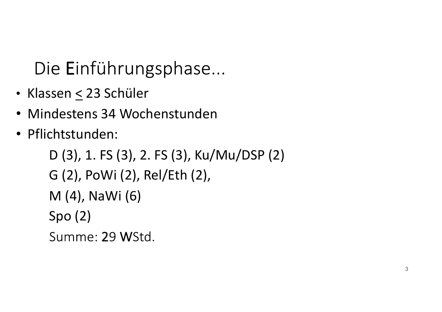# Die Einführungsphase...

- Klassen < 23 Schüler
- Mindestens 34 Wochenstunden
- · Pflichtstunden:

D (3), 1. FS (3), 2. FS (3), Ku/Mu/DSP (2) G (2), PoWi (2), Rel/Eth (2), M (4), NaWi (6)  $Spo(2)$ Summe: 29 WStd.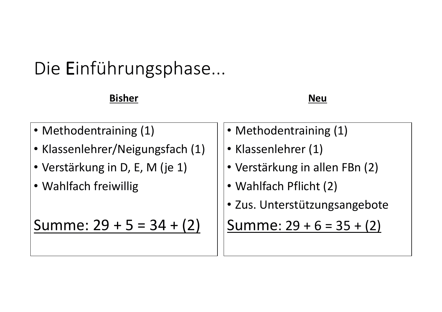# Die Einführungsphase...

#### **Bisher**

 $\mathsf{Neu}$ 

- Methodentraining (1)
- . Klassenlehrer/Neigungsfach (1)
- Verstärkung in D, E, M (je 1)
- . Wahlfach freiwillig

Summe:  $29 + 5 = 34 + (2)$ 

- Methodentraining (1)
- Klassenlehrer (1)
- **Verstärkung in allen FBn (2)**
- . Wahlfach Pflicht (2)
- · Zus. Unterstützungsangebote

Summe:  $29+6=35+(2)$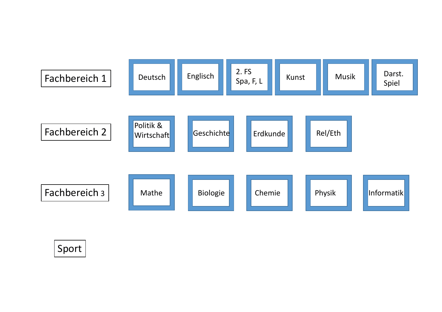

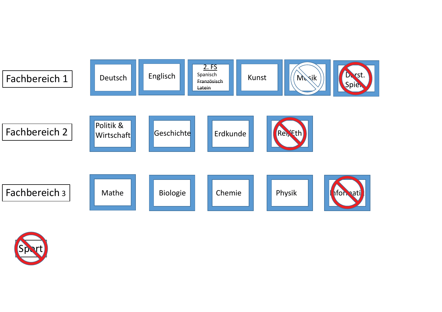

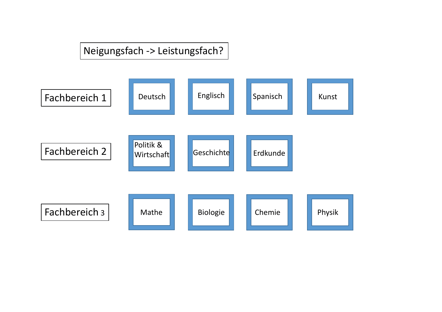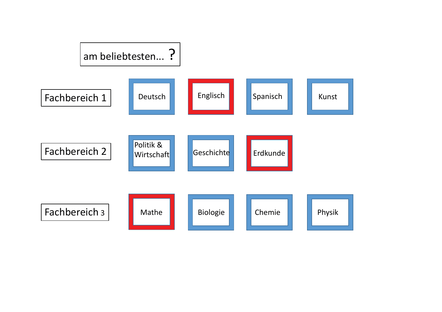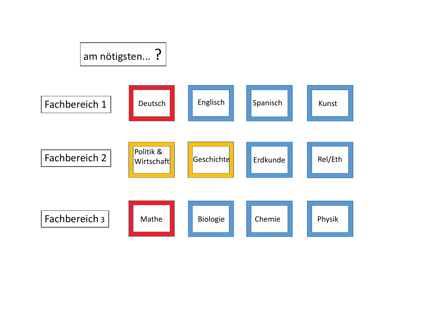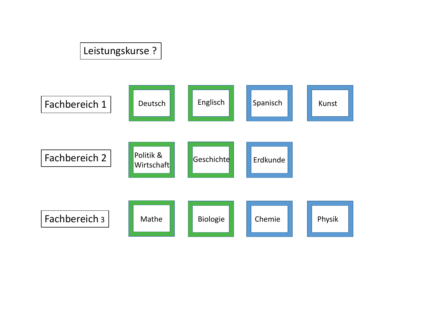### Leistungskurse ?

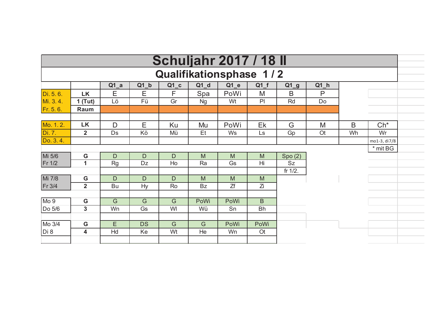| <b>Schuljahr 2017 / 18 II</b> |                |              |           |        |           |        |           |                   |           |    |              |  |
|-------------------------------|----------------|--------------|-----------|--------|-----------|--------|-----------|-------------------|-----------|----|--------------|--|
| Qualifikationsphase 1/2       |                |              |           |        |           |        |           |                   |           |    |              |  |
|                               |                | $Q1_a$       | $Q1_b$    | $Q1_c$ | $Q1_d$    | $Q1_e$ | $Q1_f$    | $Q1$ <sup>g</sup> | $Q1_h$    |    |              |  |
| Di. 5.6.                      | <b>LK</b>      | E            | Ε         | F      | Spa       | PoWi   | M         | B                 | P         |    |              |  |
| Mi. 3.4.                      | $1$ (Tut)      | Lö           | Fü        | Gr     | <b>Ng</b> | Wt     | P         | Rd                | Do        |    |              |  |
| Fr. 5. 6.                     | Raum           |              |           |        |           |        |           |                   |           |    |              |  |
|                               |                |              |           |        |           |        |           |                   |           |    |              |  |
| Mo. 1.2.                      | <b>LK</b>      | $\mathsf{D}$ | E         | Ku     | Mu        | PoWi   | Ek        | G                 | M         | B  | $Ch^*$       |  |
| Di. 7.                        | $\overline{2}$ | Ds           | Kö        | Mü     | Et        | Ws     | Ls        | Gp                | <b>Ot</b> | Wh | Wr           |  |
| Do. 3.4.                      |                |              |           |        |           |        |           |                   |           |    | mo1-3, di7/8 |  |
|                               |                |              |           |        |           |        |           |                   |           |    | * mit BG     |  |
| Mi 5/6                        | G              | D            | D         | D      | M         | M      | M         | Spo(2)            |           |    |              |  |
| Fr 1/2                        | 1              | <b>Rg</b>    | Dz        | Ho     | Ra        | Gs     | Hi        | Sz                |           |    |              |  |
|                               |                |              |           |        |           |        |           | fr $1/2$ .        |           |    |              |  |
| Mi 7/8                        | G              | D            | D         | D      | M         | M      | M         |                   |           |    |              |  |
| Fr 3/4                        | $\overline{2}$ | Bu           | <b>Hy</b> | Ro     | <b>Bz</b> | Zf     | Ζi        |                   |           |    |              |  |
|                               |                |              |           |        |           |        |           |                   |           |    |              |  |
| Mo <sub>9</sub>               | G              | G            | G         | G      | PoWi      | PoWi   | B         |                   |           |    |              |  |
| Do 5/6                        | $\mathbf{3}$   | Wn           | Gs        | WI     | Wü        | Sn     | <b>Bh</b> |                   |           |    |              |  |
|                               |                |              |           |        |           |        |           |                   |           |    |              |  |
| Mo 3/4                        | G              | E            | <b>DS</b> | G      | G         | PoWi   | PoWi      |                   |           |    |              |  |
| Di 8                          | 4              | Hd           | Ke        | Wt     | He        | Wn     | <b>Ot</b> |                   |           |    |              |  |
|                               |                |              |           |        |           |        |           |                   |           |    |              |  |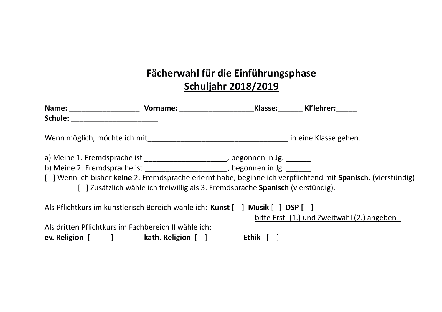#### Fächerwahl für die Einführungsphase **Schuljahr 2018/2019**

| Name: Vorname: Vorname:<br>Schule: when the set of the set of the set of the set of the set of the set of the set of the set o                                |                                                                                |         | Klasse: Kl'lehrer:                                                                                           |
|---------------------------------------------------------------------------------------------------------------------------------------------------------------|--------------------------------------------------------------------------------|---------|--------------------------------------------------------------------------------------------------------------|
| Wenn möglich, möchte ich mit eine Klasse gehen.                                                                                                               |                                                                                |         |                                                                                                              |
| a) Meine 1. Fremdsprache ist _______________________, begonnen in Jg. _______<br>b) Meine 2. Fremdsprache ist ______________________, begonnen in Jg. _______ | [] Zusätzlich wähle ich freiwillig als 3. Fremdsprache Spanisch (vierstündig). |         | [] Wenn ich bisher keine 2. Fremdsprache erlernt habe, beginne ich verpflichtend mit Spanisch. (vierstündig) |
| Als Pflichtkurs im künstlerisch Bereich wähle ich: Kunst [ ] Musik [ ] DSP [ ]                                                                                |                                                                                |         | bitte Erst- (1.) und Zweitwahl (2.) angeben!                                                                 |
| Als dritten Pflichtkurs im Fachbereich II wähle ich:<br>ev. Religion [ ] kath. Religion [ ]                                                                   |                                                                                | Ethik 「 |                                                                                                              |